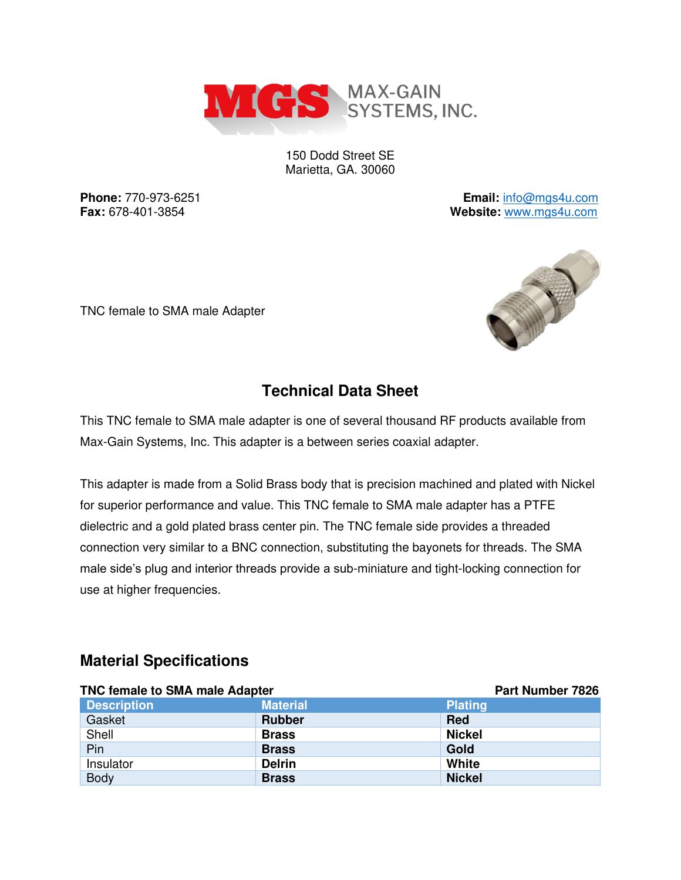

150 Dodd Street SE Marietta, GA. 30060

**Phone:** 770-973-6251 **Email:** [info@mgs4u.com](mailto:info@mgs4u.com) **Fax:** 678-401-3854 **Website:** [www.mgs4u.com](http://www.mgs4u.com/)





## **Technical Data Sheet**

This TNC female to SMA male adapter is one of several thousand RF products available from Max-Gain Systems, Inc. This adapter is a between series coaxial adapter.

This adapter is made from a Solid Brass body that is precision machined and plated with Nickel for superior performance and value. This TNC female to SMA male adapter has a PTFE dielectric and a gold plated brass center pin. The TNC female side provides a threaded connection very similar to a BNC connection, substituting the bayonets for threads. The SMA male side's plug and interior threads provide a sub-miniature and tight-locking connection for use at higher frequencies.

#### **Material Specifications**

| <b>TNC female to SMA male Adapter</b> |                 | <b>Part Number 7826</b> |
|---------------------------------------|-----------------|-------------------------|
| <b>Description</b>                    | <b>Material</b> | <b>Plating</b>          |
| Gasket                                | <b>Rubber</b>   | <b>Red</b>              |
| Shell                                 | <b>Brass</b>    | <b>Nickel</b>           |
| Pin                                   | <b>Brass</b>    | Gold                    |
| Insulator                             | <b>Delrin</b>   | White                   |
| <b>Body</b>                           | <b>Brass</b>    | <b>Nickel</b>           |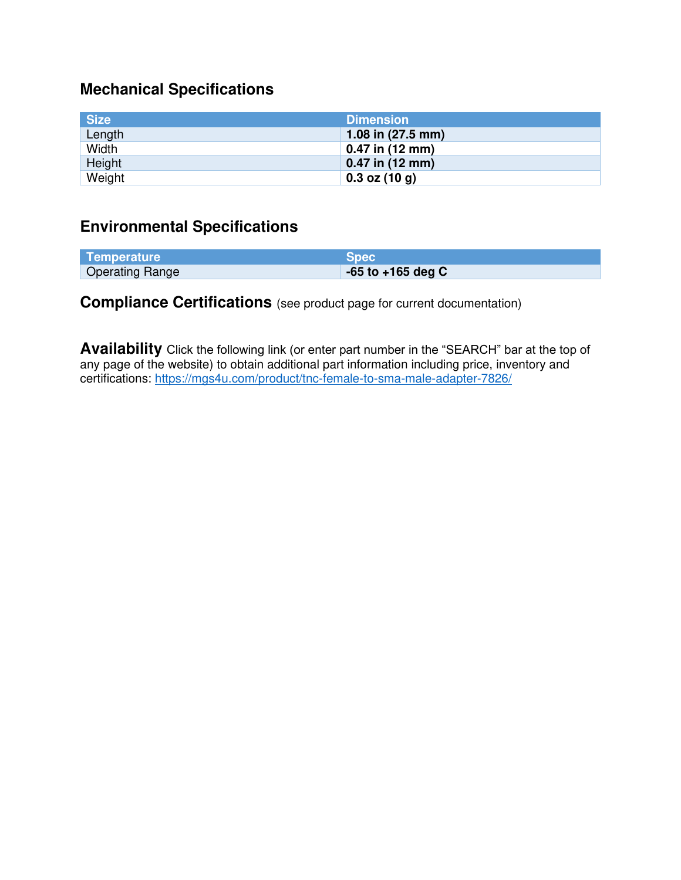# **Mechanical Specifications**

| <b>Size</b> | <b>Dimension</b>    |
|-------------|---------------------|
| Length      | 1.08 in $(27.5$ mm) |
| Width       | $0.47$ in (12 mm)   |
| Height      | $0.47$ in (12 mm)   |
| Weight      | $0.3$ oz $(10 g)$   |

### **Environmental Specifications**

| Temperature            | <b>Spec</b>           |
|------------------------|-----------------------|
| <b>Operating Range</b> | $-65$ to $+165$ deg C |

### **Compliance Certifications** (see product page for current documentation)

**Availability** Click the following link (or enter part number in the "SEARCH" bar at the top of any page of the website) to obtain additional part information including price, inventory and certifications:<https://mgs4u.com/product/tnc-female-to-sma-male-adapter-7826/>